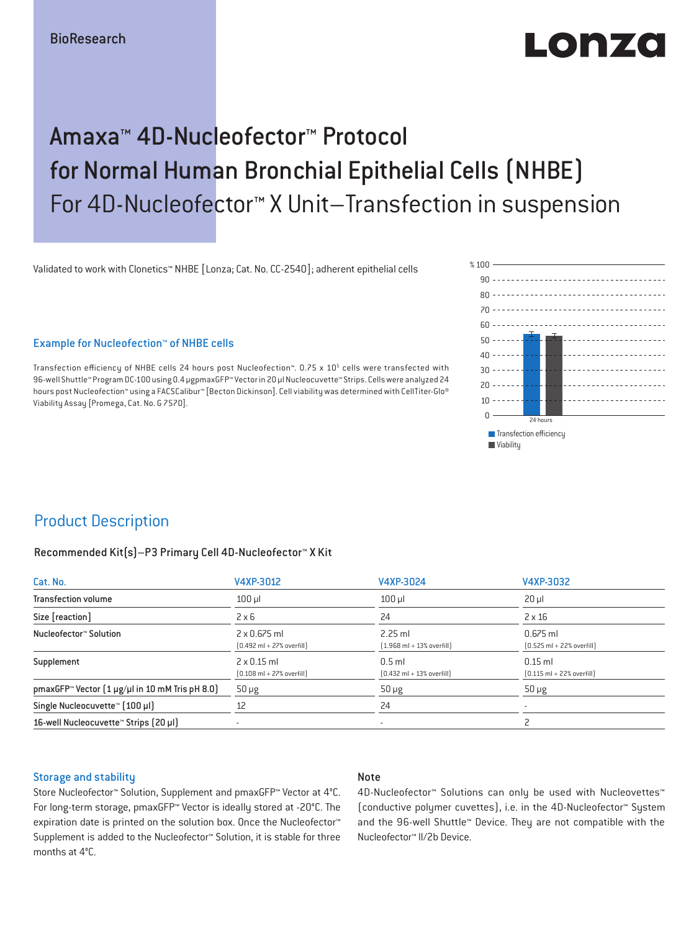# $\blacksquare$  $\blacksquare$

## Amaxa™ 4D-Nucleofector™ Protocol for Normal Human Bronchial Epithelial Cells (NHBE) For 4D-Nucleofector™ X Unit–Transfection in suspension

Validated to work with Clonetics™ NHBE [Lonza; Cat. No. CC-2540]; adherent epithelial cells

### Example for Nucleofection™ of NHBE cells

Transfection efficiency of NHBE cells 24 hours post Nucleofection™. 0.75 x 10<sup>5</sup> cells were transfected with 96-well Shuttle™ Program DC-100 using 0.4 μgpmaxGFP™ Vector in 20 µl Nucleocuvette™ Strips. Cells were analyzed 24 hours post Nucleofection™ using a FACSCalibur™ [Becton Dickinson]. Cell viability was determined with CellTiter-Glo® Viability Assay [Promega, Cat. No. G 7570].



### Product Description

#### Recommended Kit(s)–P3 Primary Cell 4D-Nucleofector™ X Kit

| Cat. No.                                                           | V4XP-3012                                                           | V4XP-3024                                                 | V4XP-3032                                                  |  |
|--------------------------------------------------------------------|---------------------------------------------------------------------|-----------------------------------------------------------|------------------------------------------------------------|--|
| <b>Transfection volume</b>                                         | $100$ $\mu$                                                         | $100$ $\mu$                                               | $20 \mu$                                                   |  |
| Size [reaction]                                                    | $2 \times 6$                                                        | 24                                                        | $2 \times 16$                                              |  |
| Nucleofector™ Solution                                             | $2 \times 0.675$ ml<br>$[0.492 \text{ ml} + 27\% \text{ overfill}]$ | $2.25$ ml<br>$[1.968 \text{ ml} + 13\% \text{ overfill}]$ | $0.675$ ml<br>$[0.525 \text{ ml} + 22\% \text{ overfill}]$ |  |
| Supplement                                                         | $2 \times 0.15$ ml<br>$[0.108 \text{ ml} + 27\% \text{ overfill}]$  | $0.5$ ml<br>$[0.432 \text{ ml} + 13\% \text{ overfill}]$  | $0.15$ ml<br>$[0.115 \text{ ml} + 22\% \text{ overfill}]$  |  |
| pmaxGFP <sup>*</sup> Vector $(1 \mu g/\mu l$ in 10 mM Tris pH 8.0) | $50 \mu g$                                                          | $50 \mu g$                                                | $50 \mu g$                                                 |  |
| Single Nucleocuvette™ [100 µl]                                     | 12                                                                  | 24                                                        |                                                            |  |
| 16-well Nucleocuvette <sup>™</sup> Strips [20 µl]                  | $\overline{\phantom{a}}$                                            | $\sim$                                                    |                                                            |  |

#### Storage and stability

### Note

Store Nucleofector™ Solution, Supplement and pmaxGFP™ Vector at 4°C. For long-term storage, pmaxGFP™ Vector is ideally stored at -20°C. The expiration date is printed on the solution box. Once the Nucleofector™ Supplement is added to the Nucleofector™ Solution, it is stable for three months at 4°C.

4D-Nucleofector™ Solutions can only be used with Nucleovettes™ (conductive polymer cuvettes), i.e. in the 4D-Nucleofector™ System and the 96-well Shuttle™ Device. They are not compatible with the Nucleofector™ II/2b Device.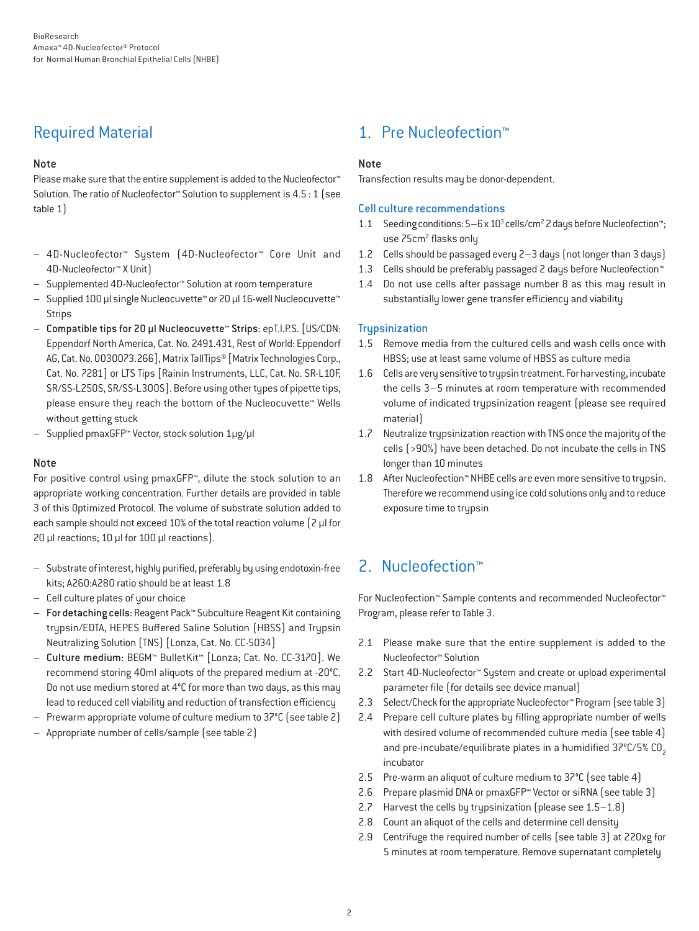### Required Material

### Note

Please make sure that the entire supplement is added to the Nucleofector<sup>™</sup> Solution. The ratio of Nucleofector™ Solution to supplement is 4.5 : 1 (see table 1)

- 4D-Nucleofector™ System (4D-Nucleofector™ Core Unit and 4D-Nucleofector™ X Unit)
- Supplemented 4D-Nucleofector™ Solution at room temperature
- Supplied 100 µl single Nucleocuvette™ or 20 µl 16-well Nucleocuvette™ **Strips**
- Compatible tips for 20 µl Nucleocuvette™ Strips: epT.I.P.S. [US/CDN: Eppendorf North America, Cat. No. 2491.431, Rest of World: Eppendorf AG, Cat. No. 0030073.266], Matrix TallTips® [Matrix Technologies Corp., Cat. No. 7281] or LTS Tips [Rainin Instruments, LLC, Cat. No. SR-L10F, SR/SS-L250S, SR/SS-L300S]. Before using other types of pipette tips, please ensure they reach the bottom of the Nucleocuvette™ Wells without getting stuck
- Supplied pmaxGFP™ Vector, stock solution 1µg/µl

### Note

For positive control using pmaxGFP™, dilute the stock solution to an appropriate working concentration. Further details are provided in table 3 of this Optimized Protocol. The volume of substrate solution added to each sample should not exceed 10% of the total reaction volume (2 μl for 20 μl reactions; 10 μl for 100 μl reactions).

- Substrate of interest, highly purified, preferably by using endotoxin-free kits; A260:A280 ratio should be at least 1.8
- Cell culture plates of your choice
- For detaching cells: Reagent Pack™ Subculture Reagent Kit containing trypsin/EDTA, HEPES Buffered Saline Solution (HBSS) and Trypsin Neutralizing Solution (TNS) [Lonza, Cat. No. CC-5034]
- Culture medium: BEGM™ BulletKit™ [Lonza; Cat. No. CC-3170]. We recommend storing 40ml aliquots of the prepared medium at -20°C. Do not use medium stored at 4°C for more than two days, as this may lead to reduced cell viability and reduction of transfection efficiency
- Prewarm appropriate volume of culture medium to 37°C (see table 2)
- Appropriate number of cells/sample (see table 2)

### 1. Pre Nucleofection™

### Note

Transfection results may be donor-dependent.

### Cell culture recommendations

- 1.1 Seeding conditions: 5-6 x 10<sup>3</sup> cells/cm<sup>2</sup> 2 days before Nucleofection™; use 75cm<sup>2</sup> flasks only
- 1.2 Cells should be passaged every 2–3 days (not longer than 3 days)
- 1.3 Cells should be preferably passaged 2 days before Nucleofection™
- 1.4 Do not use cells after passage number 8 as this may result in substantially lower gene transfer efficiency and viability

### **Trupsinization**

- 1.5 Remove media from the cultured cells and wash cells once with HBSS; use at least same volume of HBSS as culture media
- 1.6 Cells are very sensitive to trypsin treatment. For harvesting, incubate the cells 3–5 minutes at room temperature with recommended volume of indicated trypsinization reagent (please see required material)
- 1.7 Neutralize trypsinization reaction with TNS once the majority of the cells (>90%) have been detached. Do not incubate the cells in TNS longer than 10 minutes
- 1.8 After Nucleofection™ NHBE cells are even more sensitive to trypsin. Therefore we recommend using ice cold solutions only and to reduce exposure time to trypsin

### 2. Nucleofection™

For Nucleofection™ Sample contents and recommended Nucleofector™ Program, please refer to Table 3.

- 2.1 Please make sure that the entire supplement is added to the Nucleofector™ Solution
- 2.2 Start 4D-Nucleofector™ System and create or upload experimental parameter file (for details see device manual)
- 2.3 Select/Check for the appropriate Nucleofector™ Program (see table 3)
- 2.4 Prepare cell culture plates by filling appropriate number of wells with desired volume of recommended culture media (see table 4) and pre-incubate/equilibrate plates in a humidified 37°C/5% CO<sub>2</sub> incubator
- 2.5 Pre-warm an aliquot of culture medium to 37°C (see table 4)
- 2.6 Prepare plasmid DNA or pmaxGFP™ Vector or siRNA (see table 3)
- 2.7 Harvest the cells by trypsinization (please see 1.5–1.8)
- 2.8 Count an aliquot of the cells and determine cell density
- 2.9 Centrifuge the required number of cells (see table 3) at 220xg for 5 minutes at room temperature. Remove supernatant completely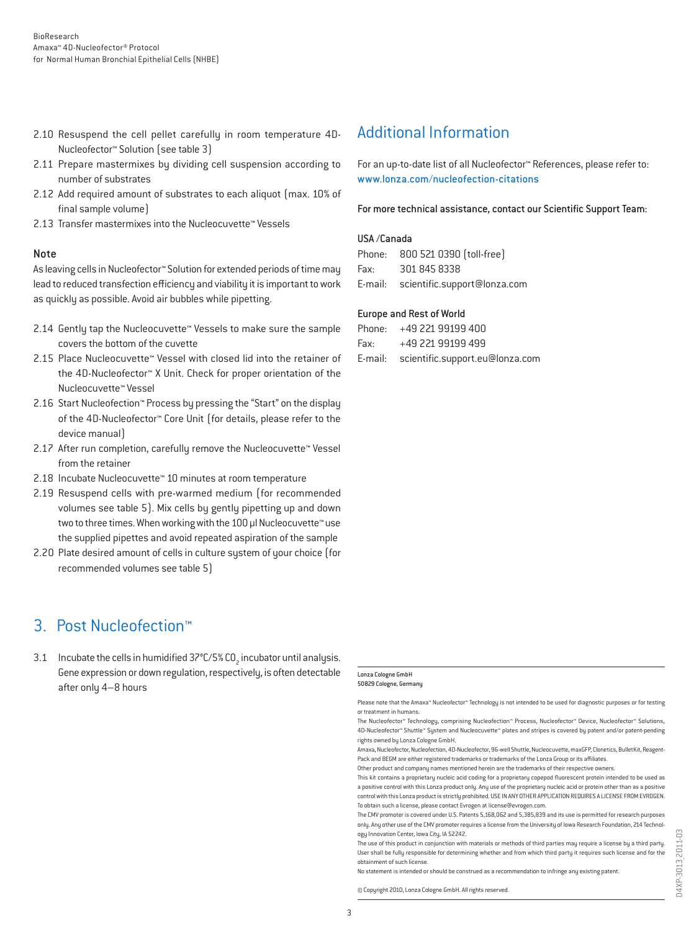- 2.10 Resuspend the cell pellet carefully in room temperature 4D-Nucleofector™ Solution (see table 3)
- 2.11 Prepare mastermixes by dividing cell suspension according to number of substrates
- 2.12 Add required amount of substrates to each aliquot (max. 10% of final sample volume)
- 2.13 Transfer mastermixes into the Nucleocuvette™ Vessels

#### Note

As leaving cells in Nucleofector™ Solution for extended periods of time may lead to reduced transfection efficiency and viability it is important to work as quickly as possible. Avoid air bubbles while pipetting.

- 2.14 Gently tap the Nucleocuvette™ Vessels to make sure the sample covers the bottom of the cuvette
- 2.15 Place Nucleocuvette™ Vessel with closed lid into the retainer of the 4D-Nucleofector™ X Unit. Check for proper orientation of the Nucleocuvette™ Vessel
- 2.16 Start Nucleofection™ Process by pressing the "Start" on the display of the 4D-Nucleofector™ Core Unit (for details, please refer to the device manual)
- 2.17 After run completion, carefully remove the Nucleocuvette™ Vessel from the retainer
- 2.18 Incubate Nucleocuvette™ 10 minutes at room temperature
- 2.19 Resuspend cells with pre-warmed medium (for recommended volumes see table 5). Mix cells by gently pipetting up and down two to three times. When working with the 100 µl Nucleocuvette™ use the supplied pipettes and avoid repeated aspiration of the sample
- 2.20 Plate desired amount of cells in culture system of your choice (for recommended volumes see table 5)

### 3. Post Nucleofection™

3.1 Incubate the cells in humidified 37°C/5% CO<sub>2</sub> incubator until analysis. Gene expression or down regulation, respectively, is often detectable after only 4–8 hours

### Additional Information

For an up-to-date list of all Nucleofector™ References, please refer to: www.lonza.com/nucleofection-citations

For more technical assistance, contact our Scientific Support Team:

#### USA /Canada

|      | Phone: 800 521 0390 [toll-free]      |
|------|--------------------------------------|
| Fax: | 301 845 8338                         |
|      | E-mail: scientific.support@lonza.com |

#### Europe and Rest of World

|          | Phone: +49 221 99199 400                |
|----------|-----------------------------------------|
| Fax: Fax | +49 221 99199 499                       |
|          | E-mail: scientific.support.eu@lonza.com |

#### Lonza Cologne GmbH 50829 Cologne, Germany

Please note that the Amaxa™ Nucleofector™ Technology is not intended to be used for diagnostic purposes or for testing or treatment in humans.

The Nucleofector™ Technology, comprising Nucleofection™ Process, Nucleofector™ Device, Nucleofector™ Solutions, 4D-Nucleofector™ Shuttle™ System and Nucleocuvette™ plates and stripes is covered by patent and/or patent-pending rights owned by Lonza Cologne GmbH.

Amaxa, Nucleofector, Nucleofection, 4D-Nucleofector, 96-well Shuttle, Nucleocuvette, maxGFP, Clonetics, BulletKit, Reagent-Pack and BEGM are either registered trademarks or trademarks of the Lonza Group or its affiliates.

Other product and company names mentioned herein are the trademarks of their respective owners.

This kit contains a proprietary nucleic acid coding for a proprietary copepod fluorescent protein intended to be used as a positive control with this Lonza product only. Any use of the proprietary nucleic acid or protein other than as a positive control with this Lonza product is strictly prohibited. USE IN ANY OTHER APPLICATION REQUIRES A LICENSE FROM EVROGEN. To obtain such a license, please contact Evrogen at license@evrogen.com.

The CMV promoter is covered under U.S. Patents 5,168,062 and 5,385,839 and its use is permitted for research purposes only. Any other use of the CMV promoter requires a license from the University of Iowa Research Foundation, 214 Technology Innovation Center, Iowa City, IA 52242.

The use of this product in conjunction with materials or methods of third parties may require a license by a third party. User shall be fully responsible for determining whether and from which third party it requires such license and for the obtainment of such license.

No statement is intended or should be construed as a recommendation to infringe any existing patent.

© Copyright 2010, Lonza Cologne GmbH. All rights reserved.